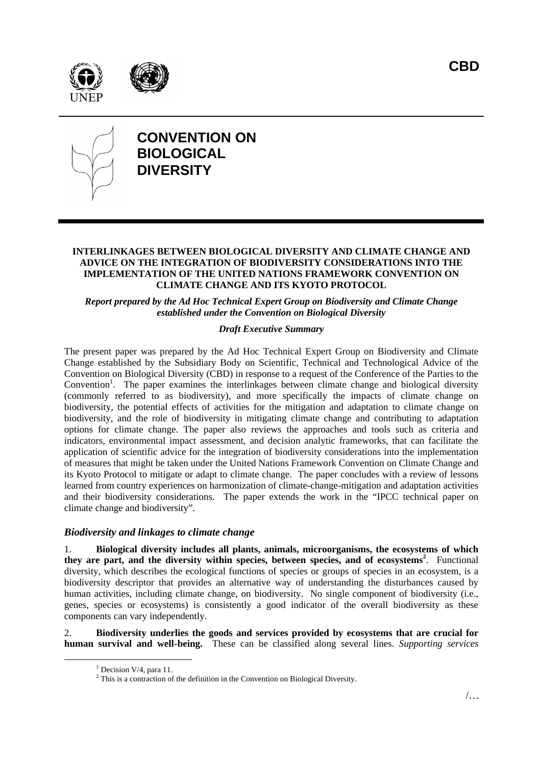**CBD**





# **CONVENTION ON BIOLOGICAL DIVERSITY**

#### **INTERLINKAGES BETWEEN BIOLOGICAL DIVERSITY AND CLIMATE CHANGE AND ADVICE ON THE INTEGRATION OF BIODIVERSITY CONSIDERATIONS INTO THE IMPLEMENTATION OF THE UNITED NATIONS FRAMEWORK CONVENTION ON CLIMATE CHANGE AND ITS KYOTO PROTOCOL**

# *Report prepared by the Ad Hoc Technical Expert Group on Biodiversity and Climate Change established under the Convention on Biological Diversity*

# *Draft Executive Summary*

The present paper was prepared by the Ad Hoc Technical Expert Group on Biodiversity and Climate Change established by the Subsidiary Body on Scientific, Technical and Technological Advice of the Convention on Biological Diversity (CBD) in response to a request of the Conference of the Parties to the Convention<sup>1</sup>. The paper examines the interlinkages between climate change and biological diversity (commonly referred to as biodiversity), and more specifically the impacts of climate change on biodiversity, the potential effects of activities for the mitigation and adaptation to climate change on biodiversity, and the role of biodiversity in mitigating climate change and contributing to adaptation options for climate change. The paper also reviews the approaches and tools such as criteria and indicators, environmental impact assessment, and decision analytic frameworks, that can facilitate the application of scientific advice for the integration of biodiversity considerations into the implementation of measures that might be taken under the United Nations Framework Convention on Climate Change and its Kyoto Protocol to mitigate or adapt to climate change. The paper concludes with a review of lessons learned from country experiences on harmonization of climate-change-mitigation and adaptation activities and their biodiversity considerations. The paper extends the work in the "IPCC technical paper on climate change and biodiversity".

# *Biodiversity and linkages to climate change*

1. **Biological diversity includes all plants, animals, microorganisms, the ecosystems of which they are part, and the diversity within species, between species, and of ecosystems<sup>2</sup>** . Functional diversity, which describes the ecological functions of species or groups of species in an ecosystem, is a biodiversity descriptor that provides an alternative way of understanding the disturbances caused by human activities, including climate change, on biodiversity. No single component of biodiversity (i.e., genes, species or ecosystems) is consistently a good indicator of the overall biodiversity as these components can vary independently.

2. **Biodiversity underlies the goods and services provided by ecosystems that are crucial for human survival and well-being.** These can be classified along several lines. *Supporting services*

 $<sup>1</sup>$  Decision V/4, para 11.</sup>

 $2$ <sup>2</sup> This is a contraction of the definition in the Convention on Biological Diversity.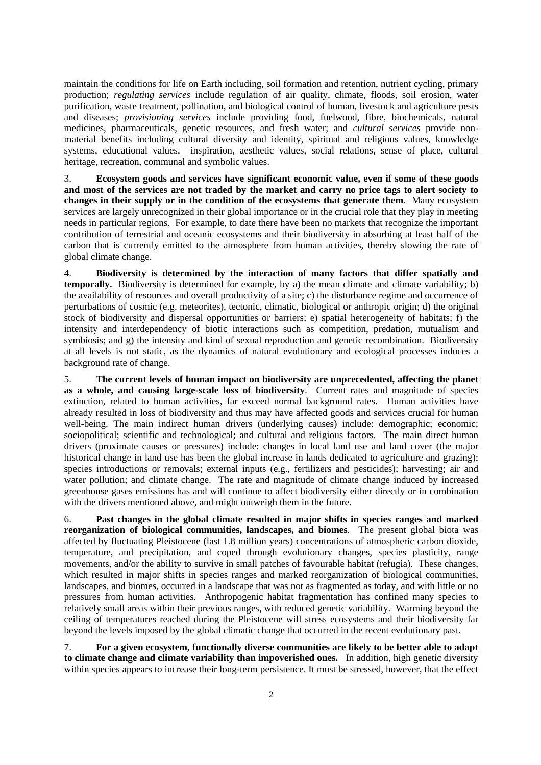maintain the conditions for life on Earth including, soil formation and retention, nutrient cycling, primary production; *regulating services* include regulation of air quality, climate, floods, soil erosion, water purification, waste treatment, pollination, and biological control of human, livestock and agriculture pests and diseases; *provisioning services* include providing food, fuelwood, fibre, biochemicals, natural medicines, pharmaceuticals, genetic resources, and fresh water; and *cultural services* provide nonmaterial benefits including cultural diversity and identity, spiritual and religious values, knowledge systems, educational values, inspiration, aesthetic values, social relations, sense of place, cultural heritage, recreation, communal and symbolic values.

3. **Ecosystem goods and services have significant economic value, even if some of these goods and most of the services are not traded by the market and carry no price tags to alert society to changes in their supply or in the condition of the ecosystems that generate them**. Many ecosystem services are largely unrecognized in their global importance or in the crucial role that they play in meeting needs in particular regions. For example, to date there have been no markets that recognize the important contribution of terrestrial and oceanic ecosystems and their biodiversity in absorbing at least half of the carbon that is currently emitted to the atmosphere from human activities, thereby slowing the rate of global climate change.

4. **Biodiversity is determined by the interaction of many factors that differ spatially and temporally.** Biodiversity is determined for example, by a) the mean climate and climate variability; b) the availability of resources and overall productivity of a site; c) the disturbance regime and occurrence of perturbations of cosmic (e.g. meteorites), tectonic, climatic, biological or anthropic origin; d) the original stock of biodiversity and dispersal opportunities or barriers; e) spatial heterogeneity of habitats; f) the intensity and interdependency of biotic interactions such as competition, predation, mutualism and symbiosis; and g) the intensity and kind of sexual reproduction and genetic recombination. Biodiversity at all levels is not static, as the dynamics of natural evolutionary and ecological processes induces a background rate of change.

5. **The current levels of human impact on biodiversity are unprecedented, affecting the planet as a whole, and causing large-scale loss of biodiversity**. Current rates and magnitude of species extinction, related to human activities, far exceed normal background rates. Human activities have already resulted in loss of biodiversity and thus may have affected goods and services crucial for human well-being. The main indirect human drivers (underlying causes) include: demographic; economic; sociopolitical; scientific and technological; and cultural and religious factors. The main direct human drivers (proximate causes or pressures) include: changes in local land use and land cover (the major historical change in land use has been the global increase in lands dedicated to agriculture and grazing); species introductions or removals; external inputs (e.g., fertilizers and pesticides); harvesting; air and water pollution; and climate change. The rate and magnitude of climate change induced by increased greenhouse gases emissions has and will continue to affect biodiversity either directly or in combination with the drivers mentioned above, and might outweigh them in the future.

6. **Past changes in the global climate resulted in major shifts in species ranges and marked reorganization of biological communities, landscapes, and biomes**. The present global biota was affected by fluctuating Pleistocene (last 1.8 million years) concentrations of atmospheric carbon dioxide, temperature, and precipitation, and coped through evolutionary changes, species plasticity, range movements, and/or the ability to survive in small patches of favourable habitat (refugia). These changes, which resulted in major shifts in species ranges and marked reorganization of biological communities, landscapes, and biomes, occurred in a landscape that was not as fragmented as today, and with little or no pressures from human activities. Anthropogenic habitat fragmentation has confined many species to relatively small areas within their previous ranges, with reduced genetic variability. Warming beyond the ceiling of temperatures reached during the Pleistocene will stress ecosystems and their biodiversity far beyond the levels imposed by the global climatic change that occurred in the recent evolutionary past.

7. **For a given ecosystem, functionally diverse communities are likely to be better able to adapt to climate change and climate variability than impoverished ones.** In addition, high genetic diversity within species appears to increase their long-term persistence. It must be stressed, however, that the effect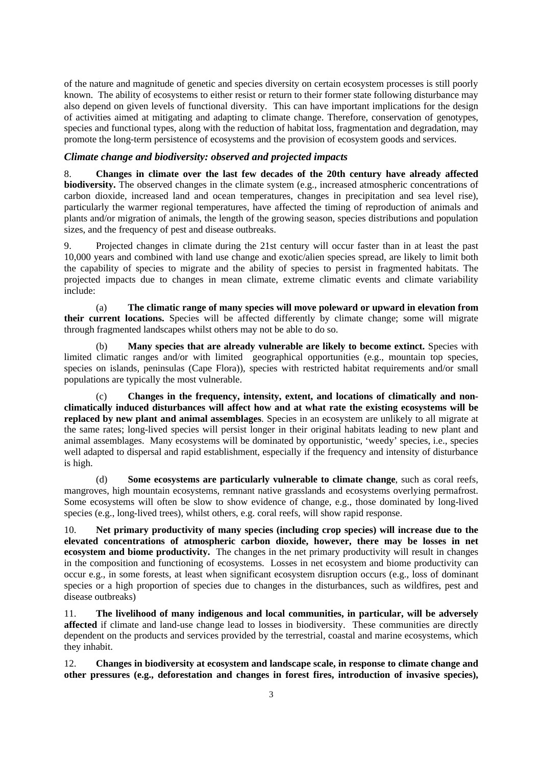of the nature and magnitude of genetic and species diversity on certain ecosystem processes is still poorly known. The ability of ecosystems to either resist or return to their former state following disturbance may also depend on given levels of functional diversity. This can have important implications for the design of activities aimed at mitigating and adapting to climate change. Therefore, conservation of genotypes, species and functional types, along with the reduction of habitat loss, fragmentation and degradation, may promote the long-term persistence of ecosystems and the provision of ecosystem goods and services.

#### *Climate change and biodiversity: observed and projected impacts*

8. **Changes in climate over the last few decades of the 20th century have already affected biodiversity.** The observed changes in the climate system (e.g., increased atmospheric concentrations of carbon dioxide, increased land and ocean temperatures, changes in precipitation and sea level rise), particularly the warmer regional temperatures, have affected the timing of reproduction of animals and plants and/or migration of animals, the length of the growing season, species distributions and population sizes, and the frequency of pest and disease outbreaks.

9. Projected changes in climate during the 21st century will occur faster than in at least the past 10,000 years and combined with land use change and exotic/alien species spread, are likely to limit both the capability of species to migrate and the ability of species to persist in fragmented habitats. The projected impacts due to changes in mean climate, extreme climatic events and climate variability include:

(a) **The climatic range of many species will move poleward or upward in elevation from their current locations.** Species will be affected differently by climate change; some will migrate through fragmented landscapes whilst others may not be able to do so.

(b) **Many species that are already vulnerable are likely to become extinct.** Species with limited climatic ranges and/or with limited geographical opportunities (e.g., mountain top species, species on islands, peninsulas (Cape Flora)), species with restricted habitat requirements and/or small populations are typically the most vulnerable.

(c) **Changes in the frequency, intensity, extent, and locations of climatically and nonclimatically induced disturbances will affect how and at what rate the existing ecosystems will be replaced by new plant and animal assemblages**. Species in an ecosystem are unlikely to all migrate at the same rates; long-lived species will persist longer in their original habitats leading to new plant and animal assemblages.Many ecosystems will be dominated by opportunistic, 'weedy' species, i.e., species well adapted to dispersal and rapid establishment, especially if the frequency and intensity of disturbance is high.

(d) **Some ecosystems are particularly vulnerable to climate change**, such as coral reefs, mangroves, high mountain ecosystems, remnant native grasslands and ecosystems overlying permafrost. Some ecosystems will often be slow to show evidence of change, e.g., those dominated by long-lived species (e.g., long-lived trees), whilst others, e.g. coral reefs, will show rapid response.

10. **Net primary productivity of many species (including crop species) will increase due to the elevated concentrations of atmospheric carbon dioxide, however, there may be losses in net ecosystem and biome productivity.** The changes in the net primary productivity will result in changes in the composition and functioning of ecosystems. Losses in net ecosystem and biome productivity can occur e.g., in some forests, at least when significant ecosystem disruption occurs (e.g., loss of dominant species or a high proportion of species due to changes in the disturbances, such as wildfires, pest and disease outbreaks)

11. **The livelihood of many indigenous and local communities, in particular, will be adversely affected** if climate and land-use change lead to losses in biodiversity. These communities are directly dependent on the products and services provided by the terrestrial, coastal and marine ecosystems, which they inhabit.

12. **Changes in biodiversity at ecosystem and landscape scale, in response to climate change and other pressures (e.g., deforestation and changes in forest fires, introduction of invasive species),**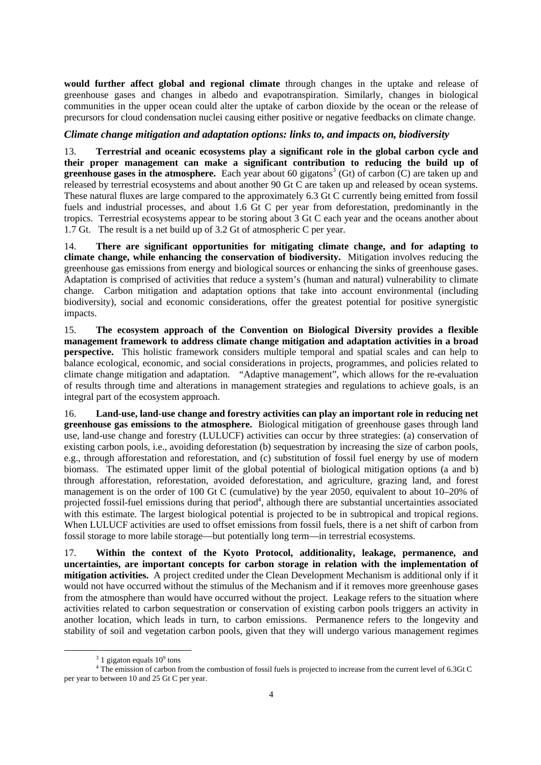**would further affect global and regional climate** through changes in the uptake and release of greenhouse gases and changes in albedo and evapotranspiration. Similarly, changes in biological communities in the upper ocean could alter the uptake of carbon dioxide by the ocean or the release of precursors for cloud condensation nuclei causing either positive or negative feedbacks on climate change.

#### *Climate change mitigation and adaptation options: links to, and impacts on, biodiversity*

13. **Terrestrial and oceanic ecosystems play a significant role in the global carbon cycle and their proper management can make a significant contribution to reducing the build up of greenhouse gases in the atmosphere.** Each year about 60 gigatons<sup>3</sup> (Gt) of carbon (C) are taken up and released by terrestrial ecosystems and about another 90 Gt C are taken up and released by ocean systems. These natural fluxes are large compared to the approximately 6.3 Gt C currently being emitted from fossil fuels and industrial processes, and about 1.6 Gt C per year from deforestation, predominantly in the tropics. Terrestrial ecosystems appear to be storing about 3 Gt C each year and the oceans another about 1.7 Gt. The result is a net build up of 3.2 Gt of atmospheric C per year.

14. **There are significant opportunities for mitigating climate change, and for adapting to climate change, while enhancing the conservation of biodiversity.** Mitigation involves reducing the greenhouse gas emissions from energy and biological sources or enhancing the sinks of greenhouse gases. Adaptation is comprised of activities that reduce a system's (human and natural) vulnerability to climate change. Carbon mitigation and adaptation options that take into account environmental (including biodiversity), social and economic considerations, offer the greatest potential for positive synergistic impacts.

15. **The ecosystem approach of the Convention on Biological Diversity provides a flexible management framework to address climate change mitigation and adaptation activities in a broad perspective.** This holistic framework considers multiple temporal and spatial scales and can help to balance ecological, economic, and social considerations in projects, programmes, and policies related to climate change mitigation and adaptation. "Adaptive management", which allows for the re-evaluation of results through time and alterations in management strategies and regulations to achieve goals, is an integral part of the ecosystem approach.

16. **Land-use, land-use change and forestry activities can play an important role in reducing net greenhouse gas emissions to the atmosphere.** Biological mitigation of greenhouse gases through land use, land-use change and forestry (LULUCF) activities can occur by three strategies: (a) conservation of existing carbon pools, i.e., avoiding deforestation (b) sequestration by increasing the size of carbon pools, e.g., through afforestation and reforestation, and (c) substitution of fossil fuel energy by use of modern biomass. The estimated upper limit of the global potential of biological mitigation options (a and b) through afforestation, reforestation, avoided deforestation, and agriculture, grazing land, and forest management is on the order of 100 Gt C (cumulative) by the year 2050, equivalent to about 10–20% of projected fossil-fuel emissions during that period<sup>4</sup>, although there are substantial uncertainties associated with this estimate. The largest biological potential is projected to be in subtropical and tropical regions. When LULUCF activities are used to offset emissions from fossil fuels, there is a net shift of carbon from fossil storage to more labile storage—but potentially long term—in terrestrial ecosystems.

17. **Within the context of the Kyoto Protocol, additionality, leakage, permanence, and uncertainties, are important concepts for carbon storage in relation with the implementation of mitigation activities.** A project credited under the Clean Development Mechanism is additional only if it would not have occurred without the stimulus of the Mechanism and if it removes more greenhouse gases from the atmosphere than would have occurred without the project. Leakage refers to the situation where activities related to carbon sequestration or conservation of existing carbon pools triggers an activity in another location, which leads in turn, to carbon emissions. Permanence refers to the longevity and stability of soil and vegetation carbon pools, given that they will undergo various management regimes

 $3$  1 gigaton equals  $10^9$  tons

<sup>4</sup> The emission of carbon from the combustion of fossil fuels is projected to increase from the current level of 6.3Gt C per year to between 10 and 25 Gt C per year.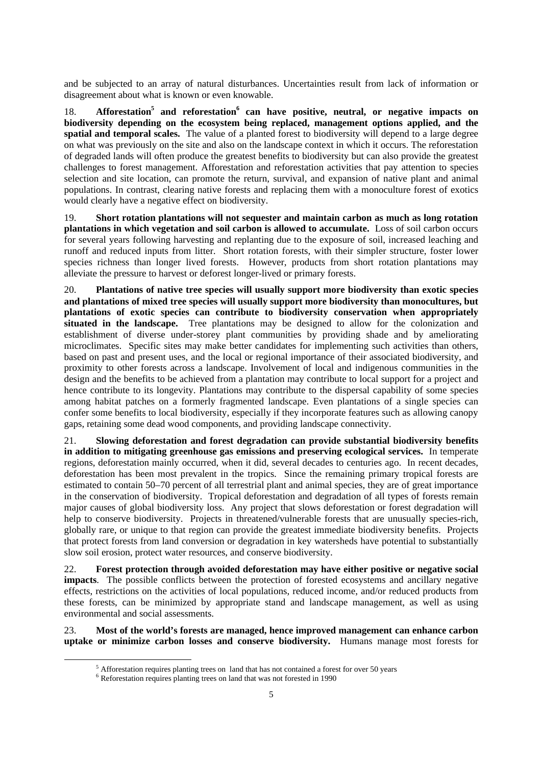and be subjected to an array of natural disturbances. Uncertainties result from lack of information or disagreement about what is known or even knowable.

18. **Afforestation<sup>5</sup> and reforestation<sup>6</sup> can have positive, neutral, or negative impacts on biodiversity depending on the ecosystem being replaced, management options applied, and the spatial and temporal scales.** The value of a planted forest to biodiversity will depend to a large degree on what was previously on the site and also on the landscape context in which it occurs. The reforestation of degraded lands will often produce the greatest benefits to biodiversity but can also provide the greatest challenges to forest management. Afforestation and reforestation activities that pay attention to species selection and site location, can promote the return, survival, and expansion of native plant and animal populations. In contrast, clearing native forests and replacing them with a monoculture forest of exotics would clearly have a negative effect on biodiversity.

19. **Short rotation plantations will not sequester and maintain carbon as much as long rotation plantations in which vegetation and soil carbon is allowed to accumulate.** Loss of soil carbon occurs for several years following harvesting and replanting due to the exposure of soil, increased leaching and runoff and reduced inputs from litter. Short rotation forests, with their simpler structure, foster lower species richness than longer lived forests. However, products from short rotation plantations may alleviate the pressure to harvest or deforest longer-lived or primary forests.

20. **Plantations of native tree species will usually support more biodiversity than exotic species and plantations of mixed tree species will usually support more biodiversity than monocultures, but plantations of exotic species can contribute to biodiversity conservation when appropriately** situated in the landscape. Tree plantations may be designed to allow for the colonization and establishment of diverse under-storey plant communities by providing shade and by ameliorating microclimates. Specific sites may make better candidates for implementing such activities than others, based on past and present uses, and the local or regional importance of their associated biodiversity, and proximity to other forests across a landscape. Involvement of local and indigenous communities in the design and the benefits to be achieved from a plantation may contribute to local support for a project and hence contribute to its longevity. Plantations may contribute to the dispersal capability of some species among habitat patches on a formerly fragmented landscape. Even plantations of a single species can confer some benefits to local biodiversity, especially if they incorporate features such as allowing canopy gaps, retaining some dead wood components, and providing landscape connectivity.

21. **Slowing deforestation and forest degradation can provide substantial biodiversity benefits in addition to mitigating greenhouse gas emissions and preserving ecological services.** In temperate regions, deforestation mainly occurred, when it did, several decades to centuries ago. In recent decades, deforestation has been most prevalent in the tropics. Since the remaining primary tropical forests are estimated to contain 50–70 percent of all terrestrial plant and animal species, they are of great importance in the conservation of biodiversity. Tropical deforestation and degradation of all types of forests remain major causes of global biodiversity loss. Any project that slows deforestation or forest degradation will help to conserve biodiversity. Projects in threatened/vulnerable forests that are unusually species-rich, globally rare, or unique to that region can provide the greatest immediate biodiversity benefits. Projects that protect forests from land conversion or degradation in key watersheds have potential to substantially slow soil erosion, protect water resources, and conserve biodiversity.

22. **Forest protection through avoided deforestation may have either positive or negative social impacts**. The possible conflicts between the protection of forested ecosystems and ancillary negative effects, restrictions on the activities of local populations, reduced income, and/or reduced products from these forests, can be minimized by appropriate stand and landscape management, as well as using environmental and social assessments.

23. **Most of the world's forests are managed, hence improved management can enhance carbon uptake or minimize carbon losses and conserve biodiversity.** Humans manage most forests for

<sup>&</sup>lt;sup>5</sup> Afforestation requires planting trees on land that has not contained a forest for over 50 years

<sup>6</sup> Reforestation requires planting trees on land that was not forested in 1990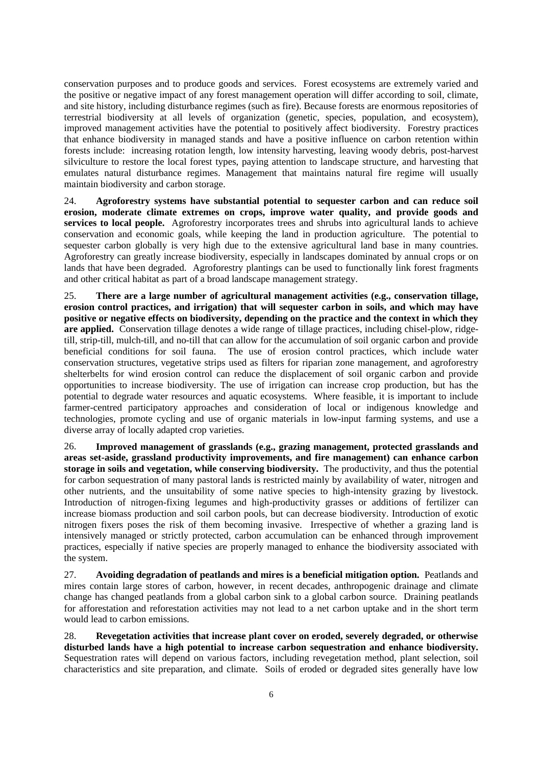conservation purposes and to produce goods and services. Forest ecosystems are extremely varied and the positive or negative impact of any forest management operation will differ according to soil, climate, and site history, including disturbance regimes (such as fire). Because forests are enormous repositories of terrestrial biodiversity at all levels of organization (genetic, species, population, and ecosystem), improved management activities have the potential to positively affect biodiversity. Forestry practices that enhance biodiversity in managed stands and have a positive influence on carbon retention within forests include: increasing rotation length, low intensity harvesting, leaving woody debris, post-harvest silviculture to restore the local forest types, paying attention to landscape structure, and harvesting that emulates natural disturbance regimes. Management that maintains natural fire regime will usually maintain biodiversity and carbon storage.

24. **Agroforestry systems have substantial potential to sequester carbon and can reduce soil erosion, moderate climate extremes on crops, improve water quality, and provide goods and services to local people.** Agroforestry incorporates trees and shrubs into agricultural lands to achieve conservation and economic goals, while keeping the land in production agriculture. The potential to sequester carbon globally is very high due to the extensive agricultural land base in many countries. Agroforestry can greatly increase biodiversity, especially in landscapes dominated by annual crops or on lands that have been degraded. Agroforestry plantings can be used to functionally link forest fragments and other critical habitat as part of a broad landscape management strategy.

25. **There are a large number of agricultural management activities (e.g., conservation tillage, erosion control practices, and irrigation) that will sequester carbon in soils, and which may have positive or negative effects on biodiversity, depending on the practice and the context in which they are applied.** Conservation tillage denotes a wide range of tillage practices, including chisel-plow, ridgetill, strip-till, mulch-till, and no-till that can allow for the accumulation of soil organic carbon and provide beneficial conditions for soil fauna. The use of erosion control practices, which include water conservation structures, vegetative strips used as filters for riparian zone management, and agroforestry shelterbelts for wind erosion control can reduce the displacement of soil organic carbon and provide opportunities to increase biodiversity. The use of irrigation can increase crop production, but has the potential to degrade water resources and aquatic ecosystems. Where feasible, it is important to include farmer-centred participatory approaches and consideration of local or indigenous knowledge and technologies, promote cycling and use of organic materials in low-input farming systems, and use a diverse array of locally adapted crop varieties.

26. **Improved management of grasslands (e.g., grazing management, protected grasslands and areas set-aside, grassland productivity improvements, and fire management) can enhance carbon storage in soils and vegetation, while conserving biodiversity.** The productivity, and thus the potential for carbon sequestration of many pastoral lands is restricted mainly by availability of water, nitrogen and other nutrients, and the unsuitability of some native species to high-intensity grazing by livestock. Introduction of nitrogen-fixing legumes and high-productivity grasses or additions of fertilizer can increase biomass production and soil carbon pools, but can decrease biodiversity. Introduction of exotic nitrogen fixers poses the risk of them becoming invasive. Irrespective of whether a grazing land is intensively managed or strictly protected, carbon accumulation can be enhanced through improvement practices, especially if native species are properly managed to enhance the biodiversity associated with the system.

27. **Avoiding degradation of peatlands and mires is a beneficial mitigation option.** Peatlands and mires contain large stores of carbon, however, in recent decades, anthropogenic drainage and climate change has changed peatlands from a global carbon sink to a global carbon source. Draining peatlands for afforestation and reforestation activities may not lead to a net carbon uptake and in the short term would lead to carbon emissions.

28. **Revegetation activities that increase plant cover on eroded, severely degraded, or otherwise disturbed lands have a high potential to increase carbon sequestration and enhance biodiversity.**  Sequestration rates will depend on various factors, including revegetation method, plant selection, soil characteristics and site preparation, and climate. Soils of eroded or degraded sites generally have low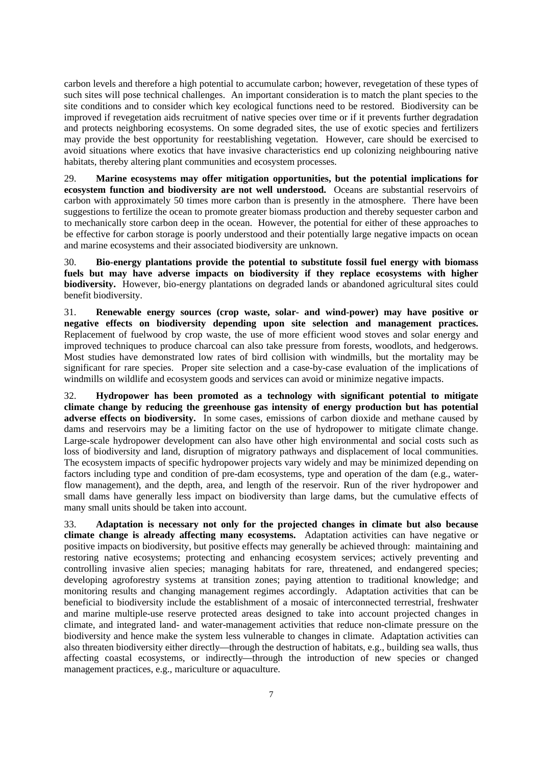carbon levels and therefore a high potential to accumulate carbon; however, revegetation of these types of such sites will pose technical challenges. An important consideration is to match the plant species to the site conditions and to consider which key ecological functions need to be restored. Biodiversity can be improved if revegetation aids recruitment of native species over time or if it prevents further degradation and protects neighboring ecosystems. On some degraded sites, the use of exotic species and fertilizers may provide the best opportunity for reestablishing vegetation. However, care should be exercised to avoid situations where exotics that have invasive characteristics end up colonizing neighbouring native habitats, thereby altering plant communities and ecosystem processes.

29. **Marine ecosystems may offer mitigation opportunities, but the potential implications for ecosystem function and biodiversity are not well understood.** Oceans are substantial reservoirs of carbon with approximately 50 times more carbon than is presently in the atmosphere. There have been suggestions to fertilize the ocean to promote greater biomass production and thereby sequester carbon and to mechanically store carbon deep in the ocean. However, the potential for either of these approaches to be effective for carbon storage is poorly understood and their potentially large negative impacts on ocean and marine ecosystems and their associated biodiversity are unknown.

30. **Bio-energy plantations provide the potential to substitute fossil fuel energy with biomass fuels but may have adverse impacts on biodiversity if they replace ecosystems with higher biodiversity.** However, bio-energy plantations on degraded lands or abandoned agricultural sites could benefit biodiversity.

31. **Renewable energy sources (crop waste, solar- and wind-power) may have positive or negative effects on biodiversity depending upon site selection and management practices.**  Replacement of fuelwood by crop waste, the use of more efficient wood stoves and solar energy and improved techniques to produce charcoal can also take pressure from forests, woodlots, and hedgerows. Most studies have demonstrated low rates of bird collision with windmills, but the mortality may be significant for rare species. Proper site selection and a case-by-case evaluation of the implications of windmills on wildlife and ecosystem goods and services can avoid or minimize negative impacts.

32. **Hydropower has been promoted as a technology with significant potential to mitigate climate change by reducing the greenhouse gas intensity of energy production but has potential adverse effects on biodiversity.** In some cases, emissions of carbon dioxide and methane caused by dams and reservoirs may be a limiting factor on the use of hydropower to mitigate climate change. Large-scale hydropower development can also have other high environmental and social costs such as loss of biodiversity and land, disruption of migratory pathways and displacement of local communities. The ecosystem impacts of specific hydropower projects vary widely and may be minimized depending on factors including type and condition of pre-dam ecosystems, type and operation of the dam (e.g., waterflow management), and the depth, area, and length of the reservoir. Run of the river hydropower and small dams have generally less impact on biodiversity than large dams, but the cumulative effects of many small units should be taken into account.

33. **Adaptation is necessary not only for the projected changes in climate but also because climate change is already affecting many ecosystems.** Adaptation activities can have negative or positive impacts on biodiversity, but positive effects may generally be achieved through: maintaining and restoring native ecosystems; protecting and enhancing ecosystem services; actively preventing and controlling invasive alien species; managing habitats for rare, threatened, and endangered species; developing agroforestry systems at transition zones; paying attention to traditional knowledge; and monitoring results and changing management regimes accordingly. Adaptation activities that can be beneficial to biodiversity include the establishment of a mosaic of interconnected terrestrial, freshwater and marine multiple-use reserve protected areas designed to take into account projected changes in climate, and integrated land- and water-management activities that reduce non-climate pressure on the biodiversity and hence make the system less vulnerable to changes in climate. Adaptation activities can also threaten biodiversity either directly—through the destruction of habitats, e.g., building sea walls, thus affecting coastal ecosystems, or indirectly—through the introduction of new species or changed management practices, e.g., mariculture or aquaculture.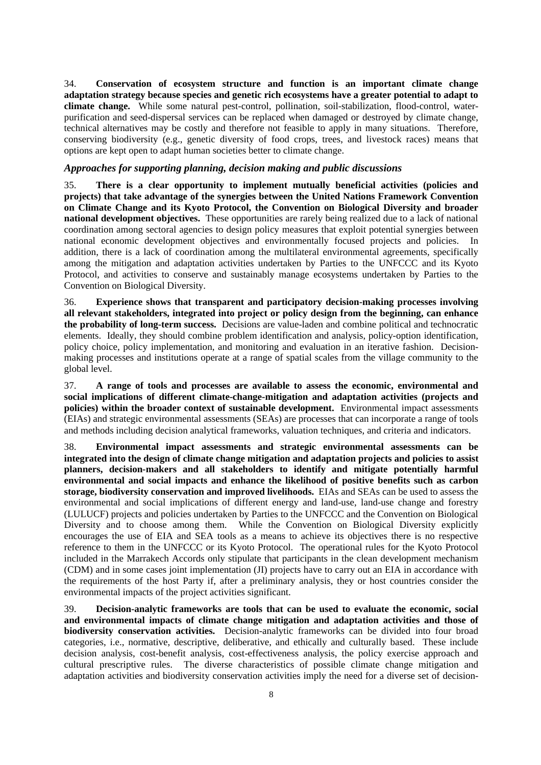34. **Conservation of ecosystem structure and function is an important climate change adaptation strategy because species and genetic rich ecosystems have a greater potential to adapt to climate change.** While some natural pest-control, pollination, soil-stabilization, flood-control, waterpurification and seed-dispersal services can be replaced when damaged or destroyed by climate change, technical alternatives may be costly and therefore not feasible to apply in many situations. Therefore, conserving biodiversity (e.g., genetic diversity of food crops, trees, and livestock races) means that options are kept open to adapt human societies better to climate change.

#### *Approaches for supporting planning, decision making and public discussions*

35. **There is a clear opportunity to implement mutually beneficial activities (policies and projects) that take advantage of the synergies between the United Nations Framework Convention on Climate Change and its Kyoto Protocol, the Convention on Biological Diversity and broader national development objectives.** These opportunities are rarely being realized due to a lack of national coordination among sectoral agencies to design policy measures that exploit potential synergies between national economic development objectives and environmentally focused projects and policies. In addition, there is a lack of coordination among the multilateral environmental agreements, specifically among the mitigation and adaptation activities undertaken by Parties to the UNFCCC and its Kyoto Protocol, and activities to conserve and sustainably manage ecosystems undertaken by Parties to the Convention on Biological Diversity.

36. **Experience shows that transparent and participatory decision-making processes involving all relevant stakeholders, integrated into project or policy design from the beginning, can enhance the probability of long-term success.** Decisions are value-laden and combine political and technocratic elements. Ideally, they should combine problem identification and analysis, policy-option identification, policy choice, policy implementation, and monitoring and evaluation in an iterative fashion. Decisionmaking processes and institutions operate at a range of spatial scales from the village community to the global level.

37. **A range of tools and processes are available to assess the economic, environmental and social implications of different climate-change-mitigation and adaptation activities (projects and policies) within the broader context of sustainable development.** Environmental impact assessments (EIAs) and strategic environmental assessments (SEAs) are processes that can incorporate a range of tools and methods including decision analytical frameworks, valuation techniques, and criteria and indicators.

38. **Environmental impact assessments and strategic environmental assessments can be integrated into the design of climate change mitigation and adaptation projects and policies to assist planners, decision-makers and all stakeholders to identify and mitigate potentially harmful environmental and social impacts and enhance the likelihood of positive benefits such as carbon storage, biodiversity conservation and improved livelihoods.** EIAs and SEAs can be used to assess the environmental and social implications of different energy and land-use, land-use change and forestry (LULUCF) projects and policies undertaken by Parties to the UNFCCC and the Convention on Biological Diversity and to choose among them. While the Convention on Biological Diversity explicitly encourages the use of EIA and SEA tools as a means to achieve its objectives there is no respective reference to them in the UNFCCC or its Kyoto Protocol. The operational rules for the Kyoto Protocol included in the Marrakech Accords only stipulate that participants in the clean development mechanism (CDM) and in some cases joint implementation (JI) projects have to carry out an EIA in accordance with the requirements of the host Party if, after a preliminary analysis, they or host countries consider the environmental impacts of the project activities significant.

39. **Decision-analytic frameworks are tools that can be used to evaluate the economic, social and environmental impacts of climate change mitigation and adaptation activities and those of biodiversity conservation activities.** Decision-analytic frameworks can be divided into four broad categories, i.e., normative, descriptive, deliberative, and ethically and culturally based. These include decision analysis, cost-benefit analysis, cost-effectiveness analysis, the policy exercise approach and cultural prescriptive rules. The diverse characteristics of possible climate change mitigation and adaptation activities and biodiversity conservation activities imply the need for a diverse set of decision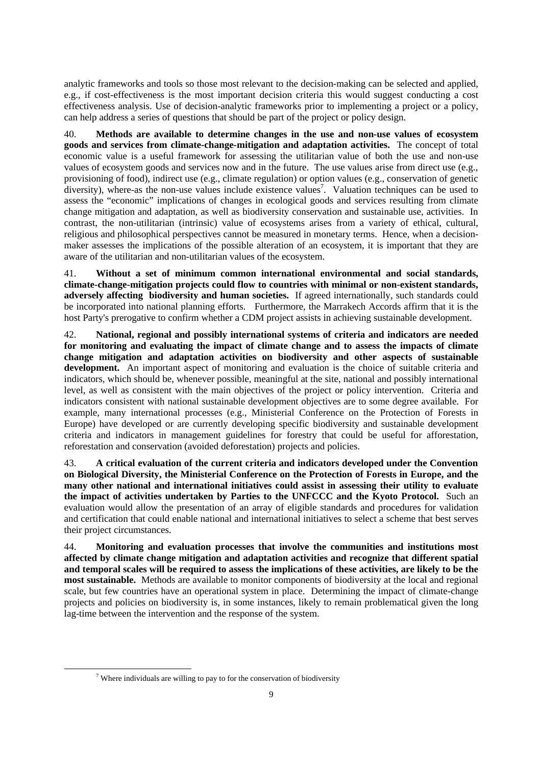analytic frameworks and tools so those most relevant to the decision-making can be selected and applied, e.g., if cost-effectiveness is the most important decision criteria this would suggest conducting a cost effectiveness analysis. Use of decision-analytic frameworks prior to implementing a project or a policy, can help address a series of questions that should be part of the project or policy design.

40. **Methods are available to determine changes in the use and non-use values of ecosystem goods and services from climate-change-mitigation and adaptation activities.** The concept of total economic value is a useful framework for assessing the utilitarian value of both the use and non-use values of ecosystem goods and services now and in the future. The use values arise from direct use (e.g., provisioning of food), indirect use (e.g., climate regulation) or option values (e.g., conservation of genetic diversity), where-as the non-use values include existence values<sup>7</sup>. Valuation techniques can be used to assess the "economic" implications of changes in ecological goods and services resulting from climate change mitigation and adaptation, as well as biodiversity conservation and sustainable use, activities. In contrast, the non-utilitarian (intrinsic) value of ecosystems arises from a variety of ethical, cultural, religious and philosophical perspectives cannot be measured in monetary terms. Hence, when a decisionmaker assesses the implications of the possible alteration of an ecosystem, it is important that they are aware of the utilitarian and non-utilitarian values of the ecosystem.

41. **Without a set of minimum common international environmental and social standards, climate-change-mitigation projects could flow to countries with minimal or non-existent standards, adversely affecting biodiversity and human societies.** If agreed internationally, such standards could be incorporated into national planning efforts. Furthermore, the Marrakech Accords affirm that it is the host Party's prerogative to confirm whether a CDM project assists in achieving sustainable development.

42. **National, regional and possibly international systems of criteria and indicators are needed for monitoring and evaluating the impact of climate change and to assess the impacts of climate change mitigation and adaptation activities on biodiversity and other aspects of sustainable development.** An important aspect of monitoring and evaluation is the choice of suitable criteria and indicators, which should be, whenever possible, meaningful at the site, national and possibly international level, as well as consistent with the main objectives of the project or policy intervention. Criteria and indicators consistent with national sustainable development objectives are to some degree available. For example, many international processes (e.g., Ministerial Conference on the Protection of Forests in Europe) have developed or are currently developing specific biodiversity and sustainable development criteria and indicators in management guidelines for forestry that could be useful for afforestation, reforestation and conservation (avoided deforestation) projects and policies.

43. **A critical evaluation of the current criteria and indicators developed under the Convention on Biological Diversity, the Ministerial Conference on the Protection of Forests in Europe, and the many other national and international initiatives could assist in assessing their utility to evaluate the impact of activities undertaken by Parties to the UNFCCC and the Kyoto Protocol.** Such an evaluation would allow the presentation of an array of eligible standards and procedures for validation and certification that could enable national and international initiatives to select a scheme that best serves their project circumstances.

44. **Monitoring and evaluation processes that involve the communities and institutions most affected by climate change mitigation and adaptation activities and recognize that different spatial and temporal scales will be required to assess the implications of these activities, are likely to be the most sustainable.** Methods are available to monitor components of biodiversity at the local and regional scale, but few countries have an operational system in place. Determining the impact of climate-change projects and policies on biodiversity is, in some instances, likely to remain problematical given the long lag-time between the intervention and the response of the system.

 $7$  Where individuals are willing to pay to for the conservation of biodiversity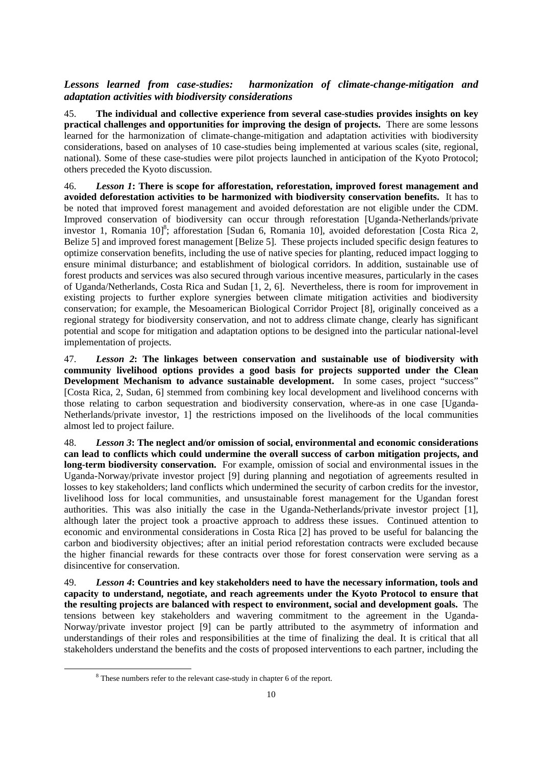### *Lessons learned from case-studies: harmonization of climate-change-mitigation and adaptation activities with biodiversity considerations*

45. **The individual and collective experience from several case-studies provides insights on key practical challenges and opportunities for improving the design of projects.** There are some lessons learned for the harmonization of climate-change-mitigation and adaptation activities with biodiversity considerations, based on analyses of 10 case-studies being implemented at various scales (site, regional, national). Some of these case-studies were pilot projects launched in anticipation of the Kyoto Protocol; others preceded the Kyoto discussion.

46. *Lesson 1***: There is scope for afforestation, reforestation, improved forest management and avoided deforestation activities to be harmonized with biodiversity conservation benefits.** It has to be noted that improved forest management and avoided deforestation are not eligible under the CDM. Improved conservation of biodiversity can occur through reforestation [Uganda-Netherlands/private investor 1, Romania 10]<sup>8</sup>; afforestation [Sudan 6, Romania 10], avoided deforestation [Costa Rica 2, Belize 5] and improved forest management [Belize 5]. These projects included specific design features to optimize conservation benefits, including the use of native species for planting, reduced impact logging to ensure minimal disturbance; and establishment of biological corridors. In addition, sustainable use of forest products and services was also secured through various incentive measures, particularly in the cases of Uganda/Netherlands, Costa Rica and Sudan [1, 2, 6]. Nevertheless, there is room for improvement in existing projects to further explore synergies between climate mitigation activities and biodiversity conservation; for example, the Mesoamerican Biological Corridor Project [8], originally conceived as a regional strategy for biodiversity conservation, and not to address climate change, clearly has significant potential and scope for mitigation and adaptation options to be designed into the particular national-level implementation of projects.

47. *Lesson 2***: The linkages between conservation and sustainable use of biodiversity with community livelihood options provides a good basis for projects supported under the Clean Development Mechanism to advance sustainable development.** In some cases, project "success" [Costa Rica, 2, Sudan, 6] stemmed from combining key local development and livelihood concerns with those relating to carbon sequestration and biodiversity conservation, where-as in one case [Uganda-Netherlands/private investor, 1] the restrictions imposed on the livelihoods of the local communities almost led to project failure.

48. *Lesson 3***: The neglect and/or omission of social, environmental and economic considerations can lead to conflicts which could undermine the overall success of carbon mitigation projects, and long-term biodiversity conservation.** For example, omission of social and environmental issues in the Uganda-Norway/private investor project [9] during planning and negotiation of agreements resulted in losses to key stakeholders; land conflicts which undermined the security of carbon credits for the investor, livelihood loss for local communities, and unsustainable forest management for the Ugandan forest authorities. This was also initially the case in the Uganda-Netherlands/private investor project [1], although later the project took a proactive approach to address these issues. Continued attention to economic and environmental considerations in Costa Rica [2] has proved to be useful for balancing the carbon and biodiversity objectives; after an initial period reforestation contracts were excluded because the higher financial rewards for these contracts over those for forest conservation were serving as a disincentive for conservation.

49. *Lesson 4***: Countries and key stakeholders need to have the necessary information, tools and capacity to understand, negotiate, and reach agreements under the Kyoto Protocol to ensure that the resulting projects are balanced with respect to environment, social and development goals.** The tensions between key stakeholders and wavering commitment to the agreement in the Uganda-Norway/private investor project [9] can be partly attributed to the asymmetry of information and understandings of their roles and responsibilities at the time of finalizing the deal. It is critical that all stakeholders understand the benefits and the costs of proposed interventions to each partner, including the

<sup>&</sup>lt;sup>8</sup> These numbers refer to the relevant case-study in chapter 6 of the report.